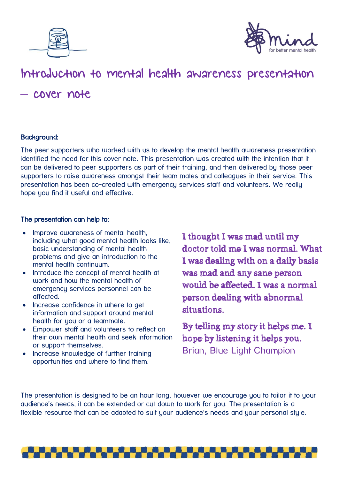



## Introduction to mental health awareness presentation – cover note

## Background:

The peer supporters who worked with us to develop the mental health awareness presentation identified the need for this cover note. This presentation was created with the intention that it can be delivered to peer supporters as part of their training, and then delivered by those peer supporters to raise awareness amongst their team mates and colleagues in their service. This presentation has been co-created with emergency services staff and volunteers. We really hope you find it useful and effective.

## The presentation can help to:

- Improve awareness of mental health, including what good mental health looks like, basic understanding of mental health problems and give an introduction to the mental health continuum.
- Introduce the concept of mental health at work and how the mental health of emergency services personnel can be affected.
- Increase confidence in where to get information and support around mental health for you or a teammate.
- Empouer staff and volunteers to reflect on their own mental health and seek information or support themselves.
- Increase knowledge of further training opportunities and where to find them.

I thought I was mad until my doctor told me I was normal. What I was dealing with on a daily basis was mad and any sane person would be affected. I was a normal person dealing with abnormal situations.

By telling my story it helps me. I hope by listening it helps you. Brian, Blue Light Champion

The presentation is designed to be an hour long, however we encourage you to tailor it to your audience's needs; it can be extended or cut down to work for you. The presentation is a flexible resource that can be adapted to suit your audience's needs and your personal style.